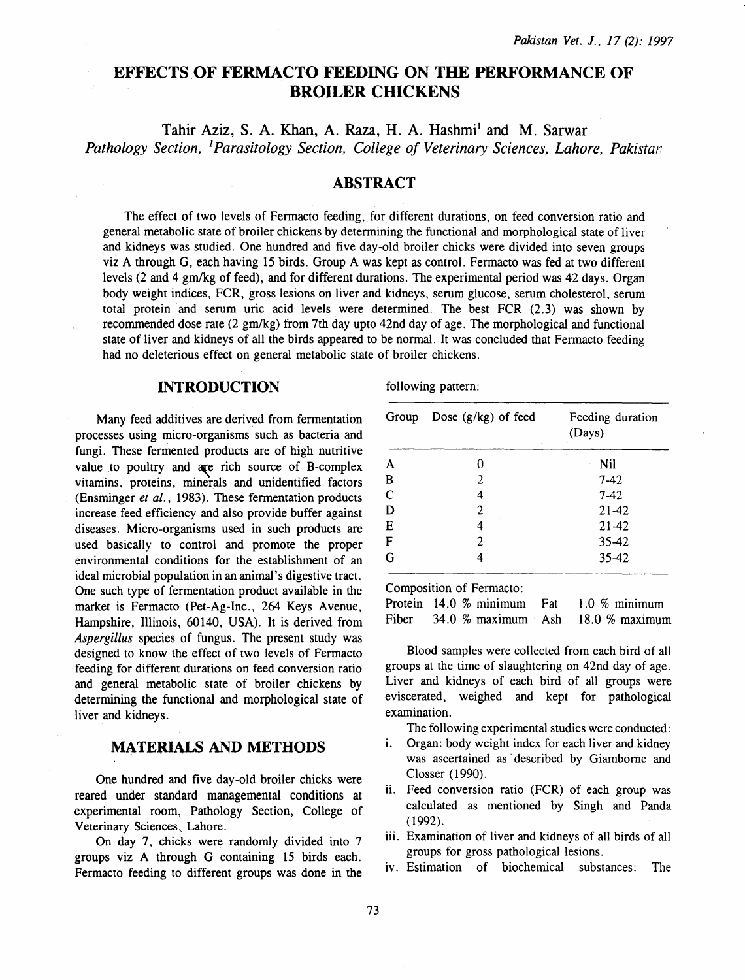# EFFECTS OF FERMACTO FEEDING ON THE PERFORMANCE OF **BROILER CHICKENS**

Tahir Aziz, S. A. Khan, A. Raza, H. A. Hashmi<sup>1</sup> and M. Sarwar *Pathology Section,* <sup>1</sup>*Parasitology Section, College of Veterinary Sciences, Lahore, Pakistar* 

# ABSTRACT

The effect of two levels of Fermacto feeding, for different durations, on feed conversion ratio and general metabolic state of broiler chickens by determining the functional and morphological state of liver and kidneys was studied. One hundred and five day-old broiler chicks were divided into seven groups viz A through G, each having 15 birds. Group A was kept as control. Fermacto was fed at two different levels (2 and 4 gm/kg of feed), and for different durations. The experimental period was 42 days. Organ body weight indices, FCR, gross lesions on liver and kidneys, serum glucose, serum cholesterol, serum total protein and serum uric acid levels. were determined. The best FCR (2.3) was shown by recommended dose rate (2 gm/kg) from 7th day upto 42nd day of age. The morphological and functional state of liver and kidneys of all the birds appeared to be normal. It was concluded that Fermacto feeding had no deleterious effect on general metabolic state of broiler chickens.

# INTRODUCTION

Many feed additives are derived from fermentation processes using micro-organisms such as bacteria and fungi. These fermented products are of high nutritive value to poultry and  $a$ re rich source of B-complex vitamins, proteins, minerals and unidentified factors (Ensminger *et al.,* 1983). These fermentation products increase feed efficiency and also provide buffer against diseases. Micro-organisms used in such products are used basically to control and promote the proper environmental conditions for the establishment of an ideal microbial population in an animal's digestive tract. One such type of fermentation product available in the market is Fermacto (Pet-Ag-Inc., 264 Keys Avenue, Hampshire, Illinois, 60140, USA). It is derived from *Aspergillus* species of fungus. The present study was designed to know the effect of two levels of Fermacto feeding for different durations on feed conversion ratio and general metabolic state of broiler chickens by determining the functional and morphological state of liver and kidneys.

#### MATERIALS AND METHODS

One hundred and five day-old broiler chicks were reared under standard managemental conditions at experimental room, Pathology Section, College of Veterinary Sciences, Lahore.

On day 7, chicks were randomly divided into 7 groups viz A through G containing 15 birds each. Fermacto feeding to different groups was done in the following pattern:

| Group       | Dose $(g/kg)$ of feed | Feeding duration<br>(Days) |
|-------------|-----------------------|----------------------------|
| A           |                       | Nil                        |
| B           | 2                     | $7-42$                     |
| $\mathbf C$ | 4                     | $7-42$                     |
| D           | 2                     | $21 - 42$                  |
| E           | 4                     | 21-42                      |
| F           | 2                     | $35 - 42$                  |
| G           |                       | $35 - 42$                  |

Composition of Fermacto:

Protein 14.0 % minimum Fat Fiber 34.0 % maximum Ash 1.0 % minimum 18.0  $%$  maximum

Blood samples were collected from each bird of all groups at the time of slaughtering on 42nd day of age. Liver and kidneys of each bird of all groups were eviscerated, weighed and kept for pathological examination.

The following experimental studies were conducted:

- i. Organ: body weight index for each liver and kidney was ascertained as· described by Giamborne and Closser ( 1990).
- ii. Feed conversion ratio (FCR) of each group was calculated as mentioned by Singh and Panda (1992).
- iii. Examination of liver and kidneys of all birds of all groups for gross pathological lesions.
- iv. Estimation of biochemical substances: The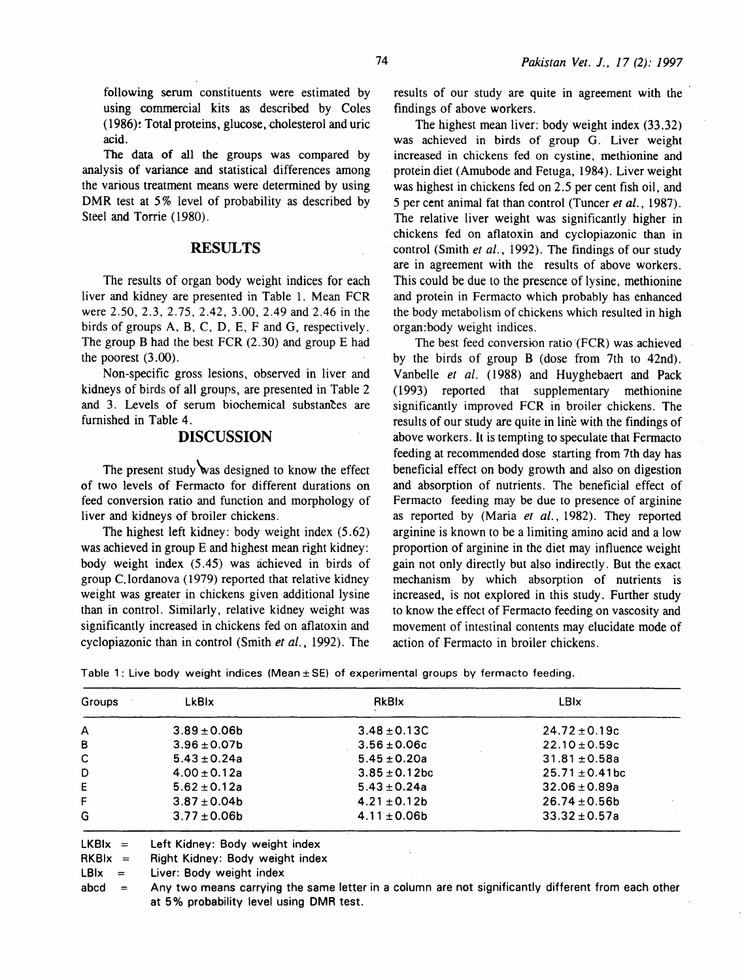following serum constituents were estimated by using commercial kits as described by Coles (1986): Total proteins, glucose, cholesterol and uric acid.

The data of all the groups was compared by analysis of variance and statistical differences among the various treatment means were determined by using DMR test at 5% level of probability as described by Steel and Torrie (1980).

# RESULTS

The results of organ body weight indices for each liver and kidney are presented in Table 1. Mean FCR were 2.50, 2.3, 2.75, 2.42, 3.00, 2.49 and 2.46 in the birds of groups A. B, C, D, E, F and G, respectively. The group B had the best FCR  $(2.30)$  and group E had the poorest (3.00).

Non-specific gross lesions, observed in liver and kidneys of birds of all groups, are presented in Table 2 and 3. Levels of serum biochemical substances are furnished in Table 4.

# DISCUSSION

The present study was designed to know the effect of two levels of Fermacto for different durations on feed conversion ratio and function and morphology of liver and kidneys of broiler chickens.

The highest left kidney: body weight index (5.62) was achieved in group E and highest mean right kidney: body weight index (5 .45) was achieved in birds of group C. Iordanova ( 1979) reported that relative kidney weight was greater in chickens given additional lysine than in control. Similarly, relative kidney weight was significantly increased in chickens fed on aflatoxin and cyclopiazonic than in control (Smith *et al.,* 1992). The

results of our study are quite in agreement with the findings of above workers.

The highest mean liver: body weight index (33.32) was achieved in birds of group G. Liver weight increased in chickens fed on cystine, methionine and protein diet (Amubode and Fetuga, 1984). Liver weight was highest in chickens fed on 2.5 per cent fish oil, and 5 per cent animal fat than control (Tuncer *et al.,* 1987). The relative liver weight was significantly higher in chickens fed on aflatoxin and cyclopiazonic than in control (Smith *et al.,* i 992). The findings of our study are in agreement with the results of above workers. This could be due to the presence of lysine, methionine and protein in Fermacto which probably has enhanced the body metabolism of chickens which resulted in high organ:body weight indices.

The best feed conversion ratio (FCR) was achieved by the birds of group B (dose from 7th to 42nd). Vanbelle *et al.* (1988) and Huyghebaert and Pack (1993) reported that supplementary methionine significantly improved FCR in broiler chickens. The results of our study are quite in line with the findings of above workers. It is tempting to speculate that Fermacto feeding at recommended dose starting from 7th day has beneficial effect on body growth and also on digestion and absorption of nutrients. The beneficial effect of Fermacto feeding may be due to presence of arginine as reported by (Maria *et al.,* 1982). They reported arginine is known to be a limiting amino acid and a low proportion of arginine in the diet may influence weight gain not only directly but also indirectly. But the exact mechanism by which absorption of nutrients is increased, is not explored in this study. Further study to know the effect of Fermacto feeding on vascosity and movement of intestinal contents may elucidate mode of action of Fermacto in broiler chickens.

Table 1: Live body weight indices (Mean $\pm$  SE) of experimental groups by fermacto feeding.

| Groups | <b>LkBIx</b>      | RkBlx              | <b>LBIx</b>         |
|--------|-------------------|--------------------|---------------------|
| A      | $3.89 \pm 0.06b$  | $3.48 \pm 0.13C$   | $24.72 \pm 0.19c$   |
| в      | $3.96 \pm 0.07$ b | $3.56 \pm 0.06c$   | $22.10 \pm 0.59c$   |
| C      | $5.43 \pm 0.24a$  | $5.45 \pm 0.20a$   | $31.81 \pm 0.58a$   |
| D      | $4.00 \pm 0.12a$  | $3.85 \pm 0.12$ bc | $25.71 \pm 0.41$ bc |
| E      | $5.62 \pm 0.12a$  | $5.43 \pm 0.24a$   | $32.06 \pm 0.89a$   |
| F      | $3.87 \pm 0.04b$  | $4.21 \pm 0.12b$   | $26.74 \pm 0.56$    |
| G      | $3.77 \pm 0.06$ b | $4.11 \pm 0.06b$   | $33.32 \pm 0.57a$   |

 $LKBix =$ Left Kidney: Body weight index

 $RKBix =$ Right Kidney: Body weight index

 $LB\mathsf{I} \mathsf{x} =$ Liver: Body weight index

 $abcd =$ Any two means carrying the same letter in a column are not significantly different from each other at 5% probability level using DMR test.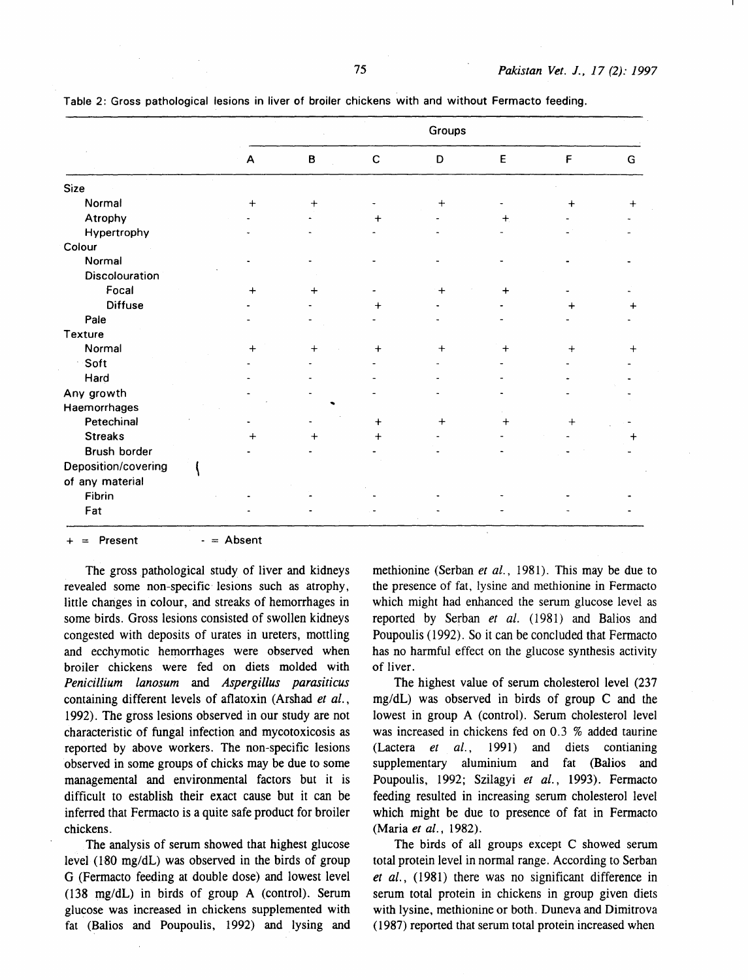|                     | Groups |              |             |             |           |             |             |       |
|---------------------|--------|--------------|-------------|-------------|-----------|-------------|-------------|-------|
|                     |        | $\mathsf{A}$ | $\mathbf B$ | $\mathsf C$ | D         | $\mathsf E$ | $\mathsf F$ | G     |
| <b>Size</b>         |        |              |             |             |           |             |             |       |
| Normal              |        | $\ddot{}$    | $+$         |             | $\ddot{}$ |             | +           |       |
| Atrophy             |        |              |             |             |           | $\ddot{}$   |             |       |
| Hypertrophy         |        |              |             |             |           |             |             |       |
| Colour              |        |              |             |             |           |             |             |       |
| Normal              |        |              |             |             |           |             |             |       |
| Discolouration      |        |              |             |             |           |             |             |       |
| Focal               |        | $\ddot{}$    | $\ddot{}$   |             | $\ddot{}$ | $\div$      |             |       |
| <b>Diffuse</b>      |        |              |             |             |           |             |             |       |
| Pale                |        |              |             |             |           |             |             |       |
| Texture             |        |              |             |             |           |             |             |       |
| Normal              |        | 4            | $\,+\,$     | $\ddot{}$   | $+$       | $^{+}$      | $+$         | $\pm$ |
| Soft                |        |              |             |             |           |             |             |       |
| Hard                |        |              |             |             |           |             |             |       |
| Any growth          |        |              |             |             |           |             |             |       |
| Haemorrhages        |        |              |             |             |           |             |             |       |
| Petechinal          |        |              |             | $\ddot{}$   | $\ddot{}$ | ┿           | $+$         |       |
| <b>Streaks</b>      |        |              |             |             |           |             |             |       |
| Brush border        |        |              |             |             |           |             |             |       |
| Deposition/covering |        |              |             |             |           |             |             |       |
| of any material     |        |              |             |             |           |             |             |       |
| Fibrin              |        |              |             |             |           |             |             |       |
| Fat                 |        |              |             |             |           |             |             |       |

Table 2: Gross pathological lesions in liver of broiler chickens with and without Fermacto feeding.

 $=$  Present  $=$  Absent

The gross pathological study of liver and kidneys revealed some non-specific· lesions such as atrophy, little changes in colour, and streaks of hemorrhages in some birds. Gross lesions consisted of swollen kidneys congested with deposits of urates in ureters, mottling and ecchymotic hemorrhages were observed when broiler chickens were fed on diets molded with *Penicillium lanosum* and *Aspergillus parasiticus*  containing different levels of aflatoxin (Arshad *et al.,*  1992). The gross lesions observed in our study are not characteristic of fungal infection and mycotoxicosis as reported by above workers. The non-specific lesions observed in some groups of chicks may be due to some managemental and environmental factors but it is difficult to establish their exact cause but it can be inferred that Fermacto is a quite safe product for broiler chickens.

The analysis of serum showed that highest glucose level (t80 mg/dL) was observed in the birds of group G (Fermacto feeding at double dose) and lowest level (138 mg/dL) in birds of group A (control). Serum glucose was increased in chickens supplemented with fat (Balios and Poupoulis, 1992) and lysing and methionine (Serban *et al.,* 1981). This may be due to the presence of fat, lysine and methionine in Fermacto which might had enhanced the serum glucose level as reported by Serban *et al.* (1981) and Balios and Poupoulis ( 1992). So it can be concluded that Fermacto has no harmful effect on the glucose synthesis activity of liver.

The highest value of serum cholesterol level (237 mg/dL) was observed in birds of group C and the lowest in group A (control). Serum cholesterol level was increased in chickens fed on 0.3 % added taurine (Lactera *et al.,* 1991) and diets contianing supplementary aluminium and fat (Balios and Poupoulis, 1992; Szilagyi et al., 1993). Fermacto feeding resulted in increasing serum cholesterol level which might be due to presence of fat in Fermacto (Maria *et al.,* 1982).

The birds of all groups except C showed serum total protein level in normal range. According to Serban *et al.,* (1981) there was no significant difference in serum total protein in chickens in group given diets with lysine, methionine or both. Duneva and Dimitrova ( 1987) reported that serum total protein increased when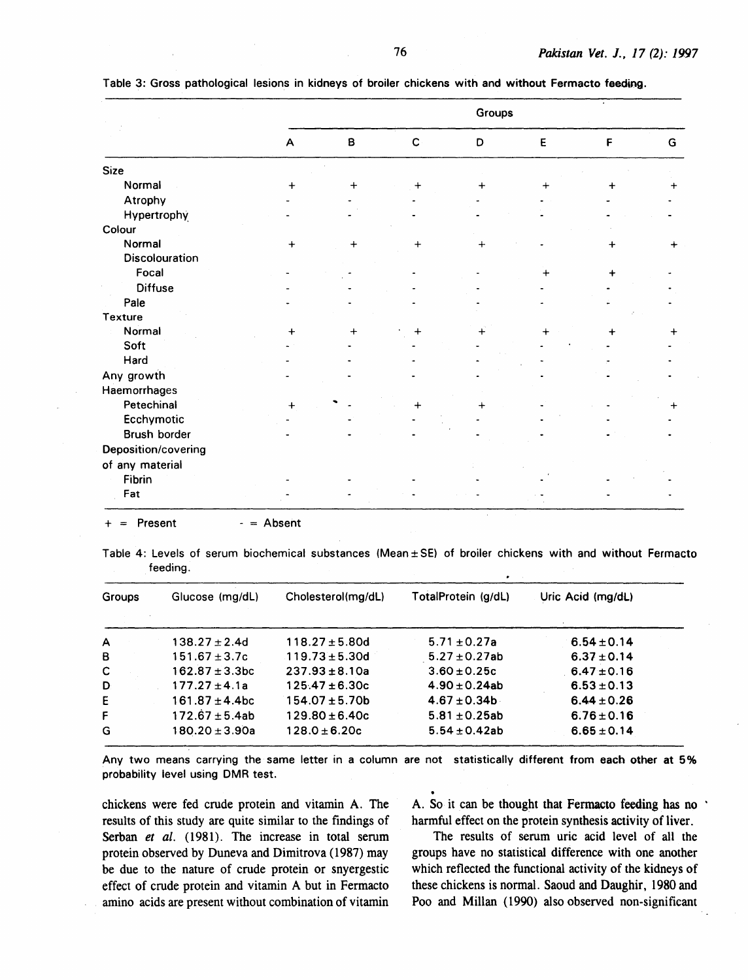|                       | Groups       |           |              |           |           |           |           |
|-----------------------|--------------|-----------|--------------|-----------|-----------|-----------|-----------|
|                       | $\mathsf{A}$ | B         | $\mathbf{C}$ | D         | E         | F         | G         |
| <b>Size</b>           |              |           |              |           |           |           |           |
| Normal                | $\ddot{}$    | $\ddot{}$ | ┿            | $\div$    | ┿         | $\ddot{}$ |           |
| Atrophy               |              |           |              |           |           |           |           |
| Hypertrophy           |              |           |              |           |           |           |           |
| Colour                |              |           |              |           |           |           |           |
| Normal                | $+$          | $\ddag$   | $\ddot{}$    | $\ddot{}$ |           | +         |           |
| <b>Discolouration</b> |              |           |              |           |           |           |           |
| Focal                 |              |           |              |           | $\ddot{}$ | ٠         |           |
| <b>Diffuse</b>        |              |           |              |           |           |           |           |
| Pale                  |              |           |              |           |           |           |           |
| Texture               |              |           |              |           |           |           |           |
| Normal                | $+$          |           | $\div$       |           |           | ┿         | $\ddot{}$ |
| Soft                  |              |           |              |           |           |           |           |
| Hard                  |              |           |              |           |           |           |           |
| Any growth            |              |           |              |           |           |           |           |
| Haemorrhages          |              |           |              |           |           |           |           |
| Petechinal            |              |           |              |           |           |           | +         |
| Ecchymotic            |              |           |              |           |           |           |           |
| Brush border          |              |           |              |           |           |           |           |
| Deposition/covering   |              |           |              |           |           |           |           |
| of any material       |              |           |              |           |           |           |           |
| Fibrin                |              |           |              |           |           |           |           |
| Fat                   |              |           |              |           |           |           |           |

Table 3: Gross pathological lesions in kidneys of broiler chickens with and without Fermacto feeding.

Table 4: Levels of serum biochemical substances (Mean± SE) of broiler chickens with and without Fermacto

 $=$  Absent

feeding.

 $=$  Present

| Groups | Glucose (mg/dL)     | Cholesterol(mg/dL)  | TotalProtein (g/dL) | Uric Acid (mg/dL) |
|--------|---------------------|---------------------|---------------------|-------------------|
| A      | $138.27 \pm 2.4$ d  | $118.27 \pm 5.80d$  | $5.71 \pm 0.27a$    | $6.54 \pm 0.14$   |
| в      | $151.67 \pm 3.7c$   | $119.73 \pm 5.30$ d | $5.27 \pm 0.27$ ab  | $6.37 \pm 0.14$   |
| с      | $162.87 \pm 3.3$ bc | $237.93 \pm 8.10a$  | $3.60 \pm 0.25c$    | $6.47 \pm 0.16$   |
| D      | $177.27 \pm 4.1a$   | $125.47 \pm 6.30c$  | $4.90 \pm 0.24$ ab  | $6.53 \pm 0.13$   |
| E      | $161.87 \pm 4.4$ bc | $154.07 \pm 5.70b$  | $4.67 \pm 0.34 b$   | $6.44 \pm 0.26$   |
| F      | $172.67 \pm 5.4ab$  | $129.80 \pm 6.40c$  | $5.81 \pm 0.25$ ab  | $6.76 \pm 0.16$   |
| G      | $180.20 \pm 3.90a$  | $128.0 \pm 6.20c$   | $5.54 \pm 0.42$ ab  | $6.65 \pm 0.14$   |

Any two means carrying the same letter in a column are not statistically different from each other at 5% probability level using DMR test.

chickens were fed crude protein and vitamin A. The results of this study are quite similar to the findings of Serban *et al.* (1981). The increase in total serum protein observed by Duneva and Dimitrova ( 1987) may be due to the nature of crude protein or snyergestic effect of crude protein and vitamin A but in Fermacto amino acids are present without combination of vitamin

A. So it can be thought that Fermacto feeding has no harmful effect on the protein synthesis activity of liver.

The results of serum uric acid level of all the groups have no statistical difference with one another which reflected the functional activity of the kidneys of these chickens is normal. Saoud and Daughir, 1980 and Poo and Millan (1990) also observed non-significant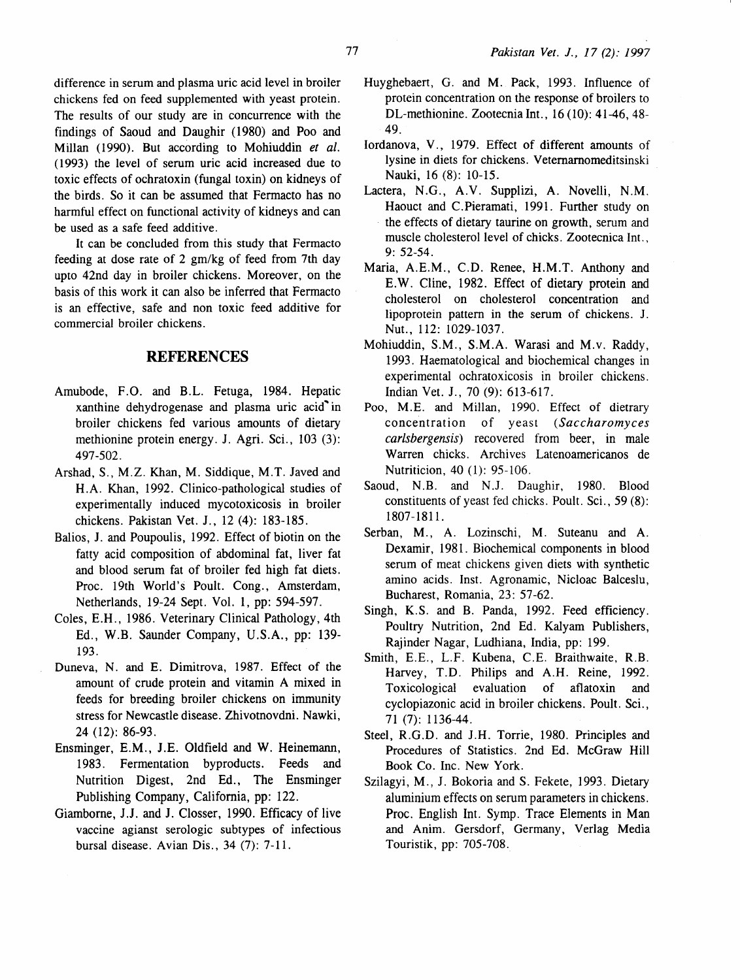difference in serum and plasma uric acid level in broiler chickens fed on feed supplemented with yeast protein. The results of our study are in concurrence with the findings of Saoud and Daughir ( 1980) and Poo and Millan (1990). But according to Mohiuddin *et al.*  ( 1993) the level of serum uric acid increased due to toxic effects of ochratoxin (fungal toxin) on kidneys of the birds. So it can be assumed that Fermacto has no harmful effect on functional activity of kidneys and can be used as a safe feed additive.

It can be concluded from this study that Fermacto feeding at dose rate of 2 gm/kg of feed from 7th day upto 42nd day in broiler chickens. Moreover, on the basis of this work it can also be inferred that Fermacto is an effective, safe and non toxic feed additive for commercial broiler chickens.

# **REFERENCES**

- Amubode, F.O. and B.L. Fetuga, 1984. Hepatic xanthine dehydrogenase and plasma uric acid' in broiler chickens fed various amounts of dietary methionine protein energy. J. Agri. Sci. , 103 (3): 497-502.
- Arshad, S., M.Z. Khan, M. Siddique, M.T. Javed and H. A. Khan, 1992. Clinico-pathological studies of experimentally induced mycotoxicosis in broiler chickens. Pakistan Vet. J., 12 (4): 183-185.
- Balios, J. and Poupoulis, 1992. Effect of biotin on the fatty acid composition of abdominal fat, liver fat and blood serum fat of broiler fed high fat diets. Proc. 19th World's Poult. Cong., Amsterdam, Netherlands, 19-24 Sept. Vol. 1, pp: 594-597.
- Coles, E.H., 1986. Veterinary Clinical Pathology, 4th Ed., W.B. Saunder Company, U.S.A., pp: 139- 193.
- Duneva, N. and E. Dimitrova, 1987. Effect of the amount of crude protein and vitamin A mixed in feeds for breeding broiler chickens on immunity stress for Newcastle disease. Zhivotnovdni. Nawki, 24 (12): 86-93.
- Ensminger, E.M., J.E. Oldfield and W. Heinemann, 1983. Fermentation byproducts. Feeds and Nutrition Digest, 2nd Ed., The Ensminger Publishing Company, California, pp: 122.
- Giamborne, J.J. and J. Closser, 1990. Efficacy of live vaccine agianst serologic subtypes of infectious bursal disease. Avian Dis., 34 (7): 7-11.
- Huyghebaen, G. and M. Pack, 1993. Influence of protein concentration on the response of broilers to DL-methionine. Zootecnia Int.,  $16(10)$ : 41-46, 48-49.
- Iordanova, V. , 1979. Effect of different amounts of lysine in diets for chickens. Vetemamomeditsinski Nauki, 16 (8): 10-15.
- Lactera, N.G., A.V. Supplizi, A. Novelli, N.M. Haouct and C. Pieramati, 1991. Further study on the effects of dietary taurine on growth, serum and muscle cholesterol level of chicks. Zootecnica Int., 9: 52-54.
- Maria, A.E.M., C.D. Renee, H.M.T. Anthony and E. W. Cline, 1982. Effect of dietary protein and cholesterol on cholesterol concentration and lipoprotein pattern in the serum of chickens. J. Nut., 112: 1029-1037.
- Mohiuddin, S.M., S.M.A. Warasi and M.v. Raddy, 1993. Haematological and biochemical changes in experimental ochratoxicosis in broiler chickens. Indian Vet. J., 70 (9): 613-617.
- Poo, M.E. and Millan, 1990. Effect of dietrary concentration of yeast *(Saccharomyces carlsbergensis)* recovered from beer, in male Warren chicks. Archives Latenoamericanos de Nutriticion, 40 (1): 95-106.
- Saoud, N.B. and N.J. Daughir, 1980. Blood constituents of yeast fed chicks. Poult. Sci., 59 (8): 1807-1811.
- Serban, M., A. Lozinschi, M. Suteanu and A. Dexamir, 1981. Biochemical components in blood serum of meat chickens given diets with synthetic amino acids. Inst. Agronamic, Nicloac Balceslu, Bucharest, Romania, 23: 57-62.
- Singh, K.S. and B. Panda, 1992. Feed efficiency. Poultry Nutrition, 2nd Ed. Kalyam Publishers, Rajinder Nagar, Ludhiana, India, pp: 199.
- Smith, E.E., L.F. Kubena, C.E. Braithwaite, R.B. Harvey, T.D. Philips and A.H. Reine, 1992. Toxicological evaluation of aflatoxin and cyclopiazonic acid in broiler chickens. Poult. Sci., 71 (7): 1136-44.
- Steel, R.G.D. and J.H. Torrie, 1980. Principles and Procedures of Statistics. 2nd Ed. McGraw Hill Book Co. Inc. New York.
- Szilagyi, M., J. Bokoria and S. Fekete, 1993. Dietary aluminium effects on serum parameters in chickens. Proc. English Int. Symp. Trace Elements in Man and Anim. Gersdorf, Germany, Verlag Media Touristik, pp: 705-708.